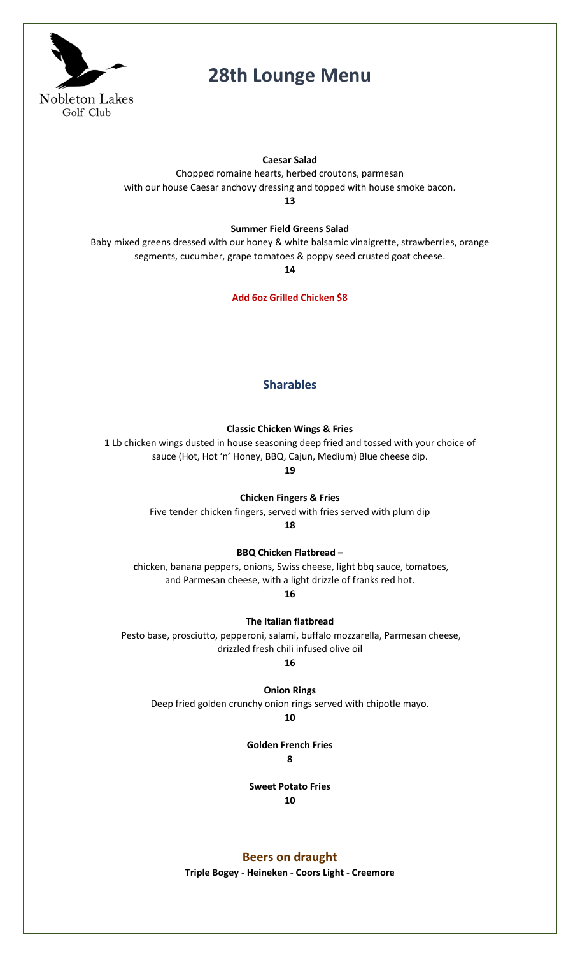

## **28th Lounge Menu**

#### **Caesar Salad**

Chopped romaine hearts, herbed croutons, parmesan with our house Caesar anchovy dressing and topped with house smoke bacon.

**13**

### **Summer Field Greens Salad**

Baby mixed greens dressed with our honey & white balsamic vinaigrette, strawberries, orange segments, cucumber, grape tomatoes & poppy seed crusted goat cheese.

**14**

**Add 6oz Grilled Chicken \$8**

### **Sharables**

**Classic Chicken Wings & Fries**

1 Lb chicken wings dusted in house seasoning deep fried and tossed with your choice of sauce (Hot, Hot 'n' Honey, BBQ, Cajun, Medium) Blue cheese dip.

**19**

**Chicken Fingers & Fries**

Five tender chicken fingers, served with fries served with plum dip

**18**

**BBQ Chicken Flatbread –**

**c**hicken, banana peppers, onions, Swiss cheese, light bbq sauce, tomatoes, and Parmesan cheese, with a light drizzle of franks red hot.

**16**

**The Italian flatbread**

Pesto base, prosciutto, pepperoni, salami, buffalo mozzarella, Parmesan cheese, drizzled fresh chili infused olive oil

**16**

**Onion Rings** 

Deep fried golden crunchy onion rings served with chipotle mayo.

**10**

**Golden French Fries 8**

**Sweet Potato Fries 10**

**Beers on draught** 

**Triple Bogey - Heineken - Coors Light - Creemore**